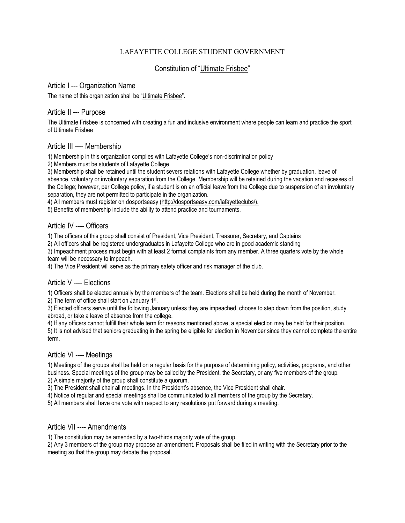## LAFAYETTE COLLEGE STUDENT GOVERNMENT

# Constitution of "Ultimate Frisbee"

#### Article I --- Organization Name

The name of this organization shall be "Ultimate Frisbee".

## Article II --- Purpose

The Ultimate Frisbee is concerned with creating a fun and inclusive environment where people can learn and practice the sport of Ultimate Frisbee

## Article III ---- Membership

1) Membership in this organization complies with Lafayette College's non-discrimination policy

2) Members must be students of Lafayette College

3) Membership shall be retained until the student severs relations with Lafayette College whether by graduation, leave of absence, voluntary or involuntary separation from the College. Membership will be retained during the vacation and recesses of the College; however, per College policy, if a student is on an official leave from the College due to suspension of an involuntary separation, they are not permitted to participate in the organization.

4) All members must register on dosportseasy [\(http://dosportseasy.com/lafayetteclubs/\)](http://dosportseasy.com/lafayetteclubs/).

5) Benefits of membership include the ability to attend practice and tournaments.

## Article IV ---- Officers

1) The officers of this group shall consist of President, Vice President, Treasurer, Secretary, and Captains

2) All officers shall be registered undergraduates in Lafayette College who are in good academic standing

3) Impeachment process must begin with at least 2 formal complaints from any member. A three quarters vote by the whole team will be necessary to impeach.

4) The Vice President will serve as the primary safety officer and risk manager of the club.

#### Article V ---- Elections

1) Officers shall be elected annually by the members of the team. Elections shall be held during the month of November.

2) The term of office shall start on January 1st.

3) Elected officers serve until the following January unless they are impeached, choose to step down from the position, study abroad, or take a leave of absence from the college.

4) If any officers cannot fulfill their whole term for reasons mentioned above, a special election may be held for their position.

5) It is not advised that seniors graduating in the spring be eligible for election in November since they cannot complete the entire term.

## Article VI ---- Meetings

1) Meetings of the groups shall be held on a regular basis for the purpose of determining policy, activities, programs, and other business. Special meetings of the group may be called by the President, the Secretary, or any five members of the group. 2) A simple majority of the group shall constitute a quorum.

3) The President shall chair all meetings. In the President's absence, the Vice President shall chair.

4) Notice of regular and special meetings shall be communicated to all members of the group by the Secretary.

5) All members shall have one vote with respect to any resolutions put forward during a meeting.

#### Article VII ---- Amendments

1) The constitution may be amended by a two-thirds majority vote of the group.

2) Any 3 members of the group may propose an amendment. Proposals shall be filed in writing with the Secretary prior to the meeting so that the group may debate the proposal.